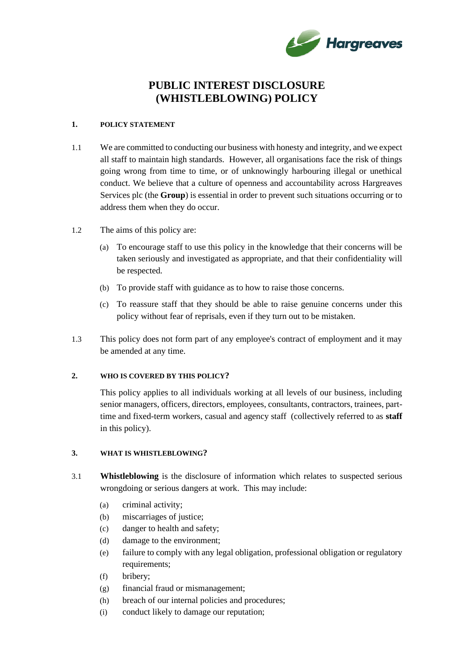

# **PUBLIC INTEREST DISCLOSURE (WHISTLEBLOWING) POLICY**

#### **1. POLICY STATEMENT**

- 1.1 We are committed to conducting our business with honesty and integrity, and we expect all staff to maintain high standards. However, all organisations face the risk of things going wrong from time to time, or of unknowingly harbouring illegal or unethical conduct. We believe that a culture of openness and accountability across Hargreaves Services plc (the **Group**) is essential in order to prevent such situations occurring or to address them when they do occur.
- 1.2 The aims of this policy are:
	- (a) To encourage staff to use this policy in the knowledge that their concerns will be taken seriously and investigated as appropriate, and that their confidentiality will be respected.
	- (b) To provide staff with guidance as to how to raise those concerns.
	- (c) To reassure staff that they should be able to raise genuine concerns under this policy without fear of reprisals, even if they turn out to be mistaken.
- 1.3 This policy does not form part of any employee's contract of employment and it may be amended at any time.

#### **2. WHO IS COVERED BY THIS POLICY?**

This policy applies to all individuals working at all levels of our business, including senior managers, officers, directors, employees, consultants, contractors, trainees, parttime and fixed-term workers, casual and agency staff (collectively referred to as **staff** in this policy).

#### **3. WHAT IS WHISTLEBLOWING?**

- 3.1 **Whistleblowing** is the disclosure of information which relates to suspected serious wrongdoing or serious dangers at work. This may include:
	- (a) criminal activity;
	- (b) miscarriages of justice;
	- (c) danger to health and safety;
	- (d) damage to the environment;
	- (e) failure to comply with any legal obligation, professional obligation or regulatory requirements;
	- (f) bribery;
	- (g) financial fraud or mismanagement;
	- (h) breach of our internal policies and procedures;
	- (i) conduct likely to damage our reputation;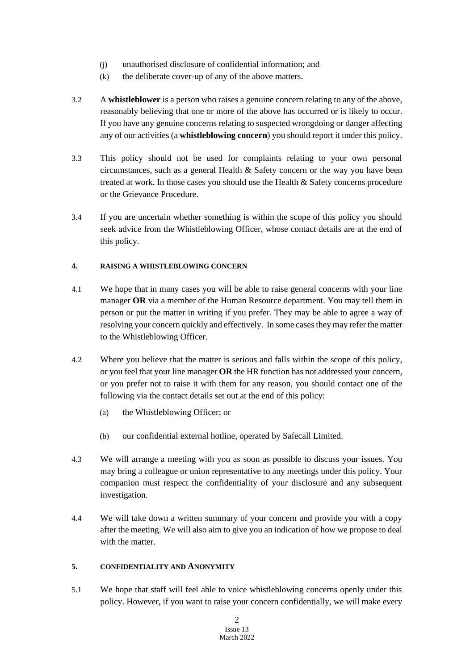- (j) unauthorised disclosure of confidential information; and
- (k) the deliberate cover-up of any of the above matters.
- 3.2 A **whistleblower** is a person who raises a genuine concern relating to any of the above, reasonably believing that one or more of the above has occurred or is likely to occur. If you have any genuine concerns relating to suspected wrongdoing or danger affecting any of our activities (a **whistleblowing concern**) you should report it under this policy.
- 3.3 This policy should not be used for complaints relating to your own personal circumstances, such as a general Health  $\&$  Safety concern or the way you have been treated at work. In those cases you should use the Health & Safety concerns procedure or the Grievance Procedure.
- 3.4 If you are uncertain whether something is within the scope of this policy you should seek advice from the Whistleblowing Officer, whose contact details are at the end of this policy.

# **4. RAISING A WHISTLEBLOWING CONCERN**

- 4.1 We hope that in many cases you will be able to raise general concerns with your line manager **OR** via a member of the Human Resource department. You may tell them in person or put the matter in writing if you prefer. They may be able to agree a way of resolving your concern quickly and effectively. In some cases they may refer the matter to the Whistleblowing Officer.
- 4.2 Where you believe that the matter is serious and falls within the scope of this policy, or you feel that your line manager **OR** the HR function has not addressed your concern, or you prefer not to raise it with them for any reason, you should contact one of the following via the contact details set out at the end of this policy:
	- (a) the Whistleblowing Officer; or
	- (b) our confidential external hotline, operated by Safecall Limited.
- 4.3 We will arrange a meeting with you as soon as possible to discuss your issues. You may bring a colleague or union representative to any meetings under this policy. Your companion must respect the confidentiality of your disclosure and any subsequent investigation.
- 4.4 We will take down a written summary of your concern and provide you with a copy after the meeting. We will also aim to give you an indication of how we propose to deal with the matter.

# **5. CONFIDENTIALITY AND ANONYMITY**

5.1 We hope that staff will feel able to voice whistleblowing concerns openly under this policy. However, if you want to raise your concern confidentially, we will make every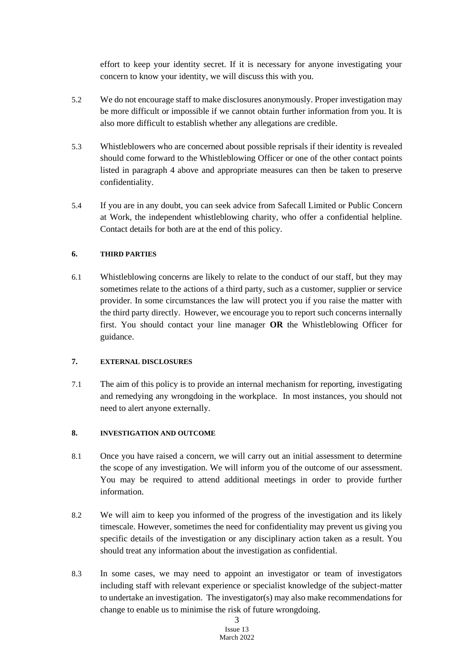effort to keep your identity secret. If it is necessary for anyone investigating your concern to know your identity, we will discuss this with you.

- 5.2 We do not encourage staff to make disclosures anonymously. Proper investigation may be more difficult or impossible if we cannot obtain further information from you. It is also more difficult to establish whether any allegations are credible.
- 5.3 Whistleblowers who are concerned about possible reprisals if their identity is revealed should come forward to the Whistleblowing Officer or one of the other contact points listed in paragraph 4 above and appropriate measures can then be taken to preserve confidentiality.
- 5.4 If you are in any doubt, you can seek advice from Safecall Limited or Public Concern at Work, the independent whistleblowing charity, who offer a confidential helpline. Contact details for both are at the end of this policy.

## **6. THIRD PARTIES**

6.1 Whistleblowing concerns are likely to relate to the conduct of our staff, but they may sometimes relate to the actions of a third party, such as a customer, supplier or service provider. In some circumstances the law will protect you if you raise the matter with the third party directly. However, we encourage you to report such concerns internally first. You should contact your line manager **OR** the Whistleblowing Officer for guidance.

# **7. EXTERNAL DISCLOSURES**

7.1 The aim of this policy is to provide an internal mechanism for reporting, investigating and remedying any wrongdoing in the workplace. In most instances, you should not need to alert anyone externally.

#### **8. INVESTIGATION AND OUTCOME**

- 8.1 Once you have raised a concern, we will carry out an initial assessment to determine the scope of any investigation. We will inform you of the outcome of our assessment. You may be required to attend additional meetings in order to provide further information.
- 8.2 We will aim to keep you informed of the progress of the investigation and its likely timescale. However, sometimes the need for confidentiality may prevent us giving you specific details of the investigation or any disciplinary action taken as a result. You should treat any information about the investigation as confidential.
- 8.3 In some cases, we may need to appoint an investigator or team of investigators including staff with relevant experience or specialist knowledge of the subject-matter to undertake an investigation. The investigator(s) may also make recommendations for change to enable us to minimise the risk of future wrongdoing.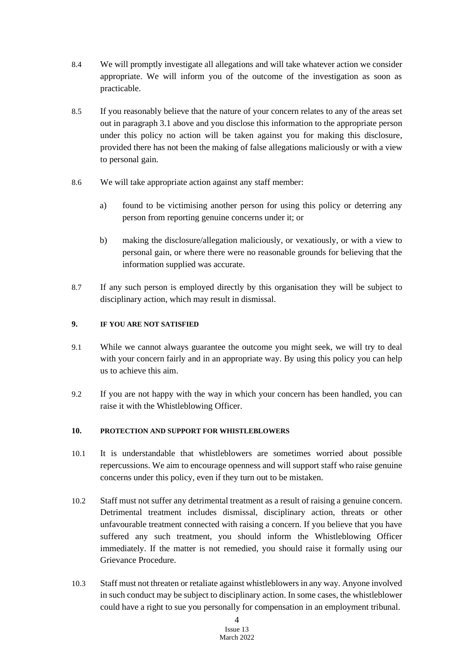- 8.4 We will promptly investigate all allegations and will take whatever action we consider appropriate. We will inform you of the outcome of the investigation as soon as practicable.
- 8.5 If you reasonably believe that the nature of your concern relates to any of the areas set out in paragraph 3.1 above and you disclose this information to the appropriate person under this policy no action will be taken against you for making this disclosure, provided there has not been the making of false allegations maliciously or with a view to personal gain.
- 8.6 We will take appropriate action against any staff member:
	- a) found to be victimising another person for using this policy or deterring any person from reporting genuine concerns under it; or
	- b) making the disclosure/allegation maliciously, or vexatiously, or with a view to personal gain, or where there were no reasonable grounds for believing that the information supplied was accurate.
- 8.7 If any such person is employed directly by this organisation they will be subject to disciplinary action, which may result in dismissal.

## **9. IF YOU ARE NOT SATISFIED**

- 9.1 While we cannot always guarantee the outcome you might seek, we will try to deal with your concern fairly and in an appropriate way. By using this policy you can help us to achieve this aim.
- 9.2 If you are not happy with the way in which your concern has been handled, you can raise it with the Whistleblowing Officer.

## **10. PROTECTION AND SUPPORT FOR WHISTLEBLOWERS**

- 10.1 It is understandable that whistleblowers are sometimes worried about possible repercussions. We aim to encourage openness and will support staff who raise genuine concerns under this policy, even if they turn out to be mistaken.
- 10.2 Staff must not suffer any detrimental treatment as a result of raising a genuine concern. Detrimental treatment includes dismissal, disciplinary action, threats or other unfavourable treatment connected with raising a concern. If you believe that you have suffered any such treatment, you should inform the Whistleblowing Officer immediately. If the matter is not remedied, you should raise it formally using our Grievance Procedure.
- 10.3 Staff must not threaten or retaliate against whistleblowers in any way. Anyone involved in such conduct may be subject to disciplinary action. In some cases, the whistleblower could have a right to sue you personally for compensation in an employment tribunal.